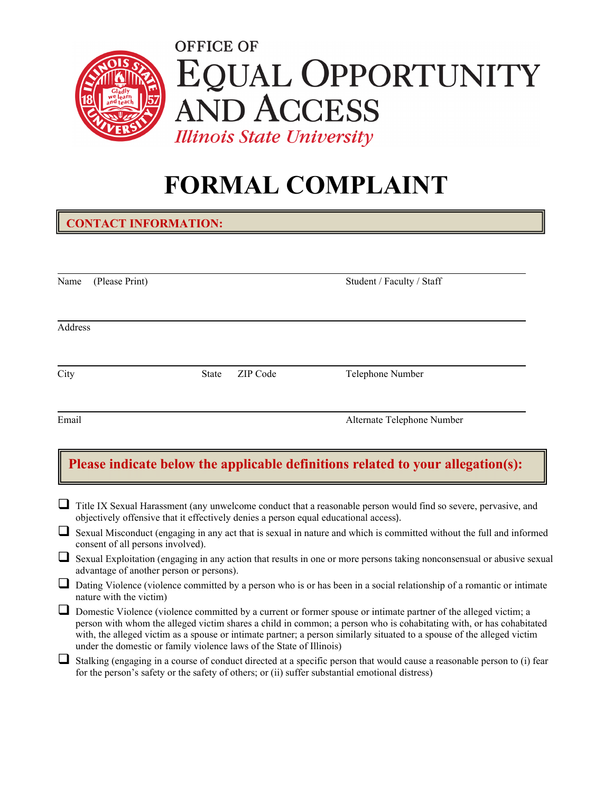

# **FORMAL COMPLAINT**

# **CONTACT INFORMATION:**

| (Please Print)<br>Name |                   | Student / Faculty / Staff  |  |
|------------------------|-------------------|----------------------------|--|
| Address                |                   |                            |  |
| City                   | ZIP Code<br>State | Telephone Number           |  |
| Email                  |                   | Alternate Telephone Number |  |

# **Please indicate below the applicable definitions related to your allegation(s):**

- Title IX Sexual Harassment (any unwelcome conduct that a reasonable person would find so severe, pervasive, and objectively offensive that it effectively denies a person equal educational access).
- $\Box$  Sexual Misconduct (engaging in any act that is sexual in nature and which is committed without the full and informed consent of all persons involved).
- Sexual Exploitation (engaging in any action that results in one or more persons taking nonconsensual or abusive sexual advantage of another person or persons).
- Dating Violence (violence committed by a person who is or has been in a social relationship of a romantic or intimate nature with the victim)
- Domestic Violence (violence committed by a current or former spouse or intimate partner of the alleged victim; a person with whom the alleged victim shares a child in common; a person who is cohabitating with, or has cohabitated with, the alleged victim as a spouse or intimate partner; a person similarly situated to a spouse of the alleged victim under the domestic or family violence laws of the State of Illinois)
- $\Box$  Stalking (engaging in a course of conduct directed at a specific person that would cause a reasonable person to (i) fear for the person's safety or the safety of others; or (ii) suffer substantial emotional distress)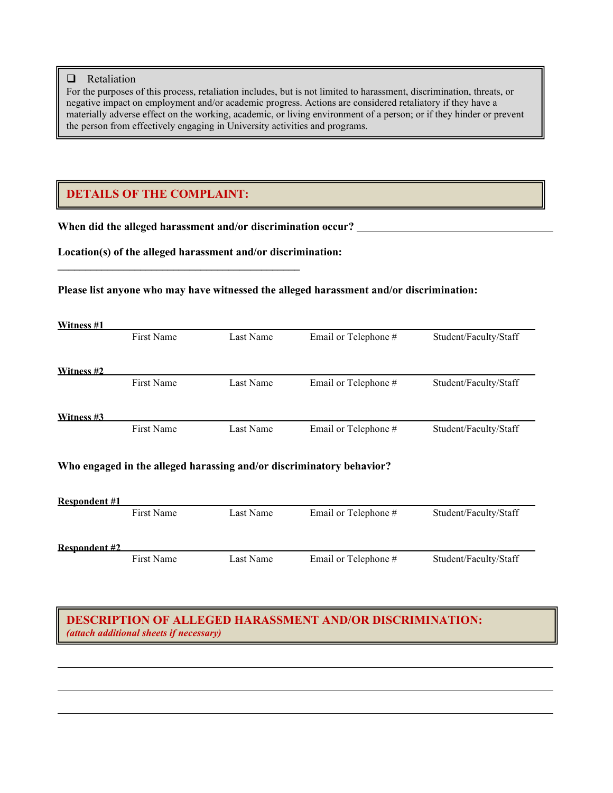#### **Q** Retaliation

For the purposes of this process, retaliation includes, but is not limited to harassment, discrimination, threats, or negative impact on employment and/or academic progress. Actions are considered retaliatory if they have a materially adverse effect on the working, academic, or living environment of a person; or if they hinder or prevent the person from effectively engaging in University activities and programs.

## **DETAILS OF THE COMPLAINT:**

**When did the alleged harassment and/or discrimination occur?** 

**Location(s) of the alleged harassment and/or discrimination:**

**\_\_\_\_\_\_\_\_\_\_\_\_\_\_\_\_\_\_\_\_\_\_\_\_\_\_\_\_\_\_\_\_\_\_\_\_\_\_\_\_\_\_\_\_**

#### **Please list anyone who may have witnessed the alleged harassment and/or discrimination:**

| Witness #1        |            |           |                      |                       |
|-------------------|------------|-----------|----------------------|-----------------------|
|                   | First Name | Last Name | Email or Telephone # | Student/Faculty/Staff |
| <b>Witness #2</b> |            |           |                      |                       |
|                   | First Name | Last Name | Email or Telephone # | Student/Faculty/Staff |
| <b>Witness #3</b> |            |           |                      |                       |
|                   | First Name | Last Name | Email or Telephone # | Student/Faculty/Staff |

### **Who engaged in the alleged harassing and/or discriminatory behavior?**

| <b>Respondent #1</b> |            |           |                        |                       |
|----------------------|------------|-----------|------------------------|-----------------------|
|                      | First Name | Last Name | Email or Telephone #   | Student/Faculty/Staff |
|                      |            |           |                        |                       |
|                      |            |           |                        |                       |
| <b>Respondent #2</b> |            |           |                        |                       |
|                      | First Name | Last Name | Email or Telephone $#$ | Student/Faculty/Staff |

## **DESCRIPTION OF ALLEGED HARASSMENT AND/OR DISCRIMINATION:** *(attach additional sheets if necessary)*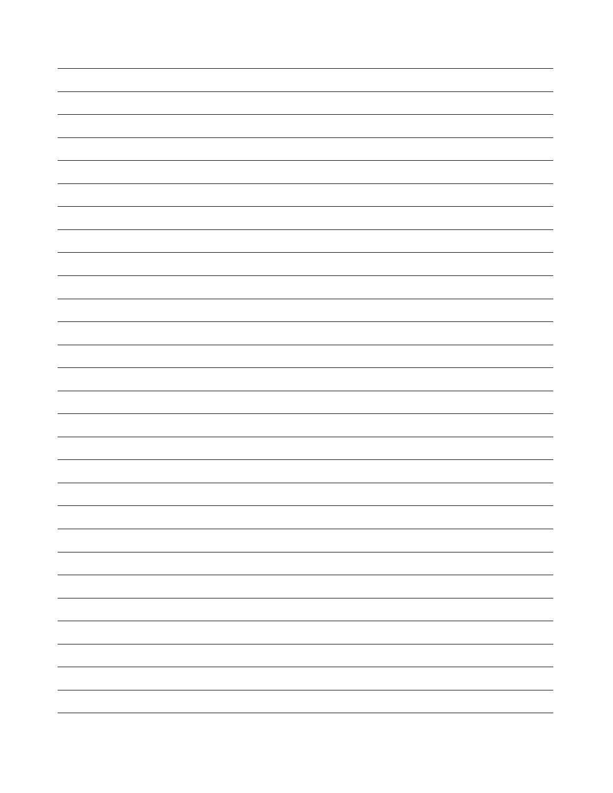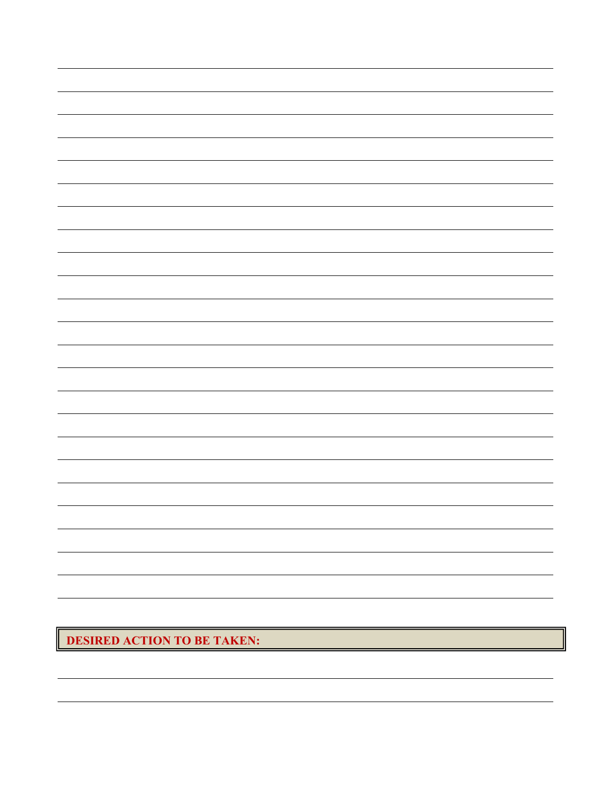**DESIRED ACTION TO BE TAKEN:**

<u> 1989 - Johann Barnett, fransk kongresu</u>

<u> 1989 - Jan Barat, margaret amerikan basa dan bagi dan bagi dan bagi dan bagi dan bagi dan bagi dan bagi dan b</u>